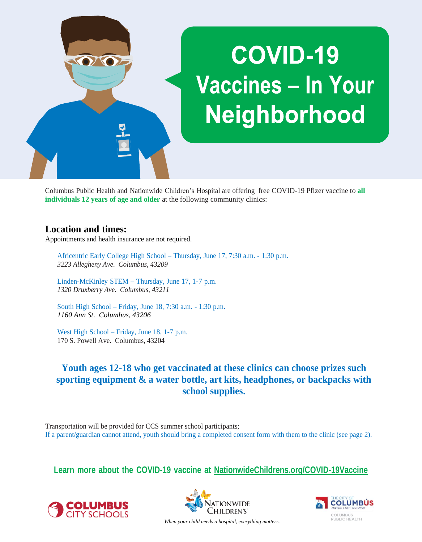

Columbus Public Health and Nationwide Children's Hospital are offering free COVID-19 Pfizer vaccine to **all individuals 12 years of age and older** at the following community clinics:

## **Location and times:**

Appointments and health insurance are not required.

Africentric Early College High School – Thursday, June 17, 7:30 a.m. - 1:30 p.m. *3223 Allegheny Ave. Columbus, 43209*

Linden-McKinley STEM – Thursday, June 17, 1-7 p.m. *1320 Druxberry Ave. Columbus, 43211*

South High School – Friday, June 18, 7:30 a.m. - 1:30 p.m. *1160 Ann St. Columbus, 43206*

West High School – Friday, June 18, 1-7 p.m. 170 S. Powell Ave. Columbus, 43204

# **Youth ages 12-18 who get vaccinated at these clinics can choose prizes such sporting equipment & a water bottle, art kits, headphones, or backpacks with school supplies.**

Transportation will be provided for CCS summer school participants; If a parent/guardian cannot attend, youth should bring a completed consent form with them to the clinic (see page 2).

**Learn more about the COVID-19 vaccine at NationwideChildrens.org/COVID-19Vaccine**







*When your child needs a hospital, everything matters.*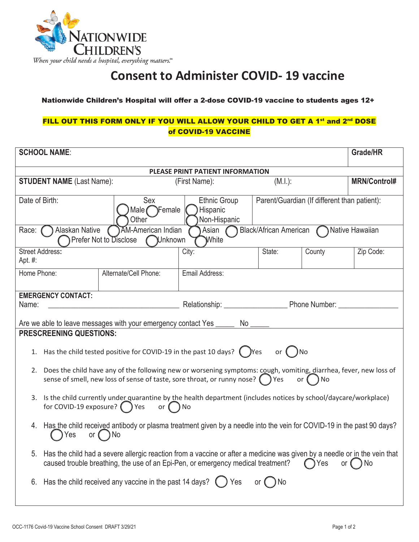

# **Consent to Administer COVID- 19 vaccine**

#### Nationwide Children's Hospital will offer a 2-dose COVID-19 vaccine to students ages 12+

### FILL OUT THIS FORM ONLY IF YOU WILL ALLOW YOUR CHILD TO GET A 1<sup>st</sup> and 2<sup>nd</sup> DOSE of COVID-19 VACCINE

| <b>SCHOOL NAME:</b>                                                                                                                                                                                                                                     |                                                                          |                                              |        | Grade/HR            |  |
|---------------------------------------------------------------------------------------------------------------------------------------------------------------------------------------------------------------------------------------------------------|--------------------------------------------------------------------------|----------------------------------------------|--------|---------------------|--|
| PLEASE PRINT PATIENT INFORMATION                                                                                                                                                                                                                        |                                                                          |                                              |        |                     |  |
| <b>STUDENT NAME (Last Name):</b>                                                                                                                                                                                                                        | (First Name):                                                            | (M.l.):                                      |        | <b>MRN/Control#</b> |  |
| Date of Birth:<br>Sex<br>Other                                                                                                                                                                                                                          | <b>Ethnic Group</b><br>Male $\bigcap$ Female<br>Hispanic<br>Non-Hispanic | Parent/Guardian (If different than patient): |        |                     |  |
| Black/African American Mative Hawaiian<br>Alaskan Native<br><b>AM-American Indian</b><br>Asian<br>Race:<br>Prefer Not to Disclose<br>Nnknown<br>White                                                                                                   |                                                                          |                                              |        |                     |  |
| <b>Street Address:</b><br>Apt. #:                                                                                                                                                                                                                       | City:                                                                    | State:                                       | County | Zip Code:           |  |
| Home Phone:<br>Alternate/Cell Phone:                                                                                                                                                                                                                    | Email Address:                                                           |                                              |        |                     |  |
| <b>EMERGENCY CONTACT:</b><br>Name:                                                                                                                                                                                                                      |                                                                          |                                              |        |                     |  |
| Are we able to leave messages with your emergency contact Yes _______ No ______                                                                                                                                                                         |                                                                          |                                              |        |                     |  |
| <b>PRESCREENING QUESTIONS:</b>                                                                                                                                                                                                                          |                                                                          |                                              |        |                     |  |
| 1. Has the child tested positive for COVID-19 in the past 10 days? $($ $)$ Yes or $($ $)$ No                                                                                                                                                            |                                                                          |                                              |        |                     |  |
| Does the child have any of the following new or worsening symptoms: cough, vomiting, diarrhea, fever, new loss of<br>2.<br>sense of smell, new loss of sense of taste, sore throat, or runny nose? $($ ) Yes<br>or (<br>) No                            |                                                                          |                                              |        |                     |  |
| 3. Is the child currently under quarantine by the health department (includes notices by school/daycare/workplace)<br>for COVID-19 exposure? $\bigcirc$ Yes<br>or $\bigcap$ No                                                                          |                                                                          |                                              |        |                     |  |
| 4. Has the child received antibody or plasma treatment given by a needle into the vein for COVID-19 in the past 90 days?<br>Yes<br>or $($ $)$ No                                                                                                        |                                                                          |                                              |        |                     |  |
| Has the child had a severe allergic reaction from a vaccine or after a medicine was given by a needle or in the vein that<br>5.<br>caused trouble breathing, the use of an Epi-Pen, or emergency medical treatment?<br>or $\bigcap$ No<br>$\bigcap$ Yes |                                                                          |                                              |        |                     |  |
| 6. Has the child received any vaccine in the past 14 days? $\binom{1}{2}$ Yes<br>or $($ $)$ No                                                                                                                                                          |                                                                          |                                              |        |                     |  |